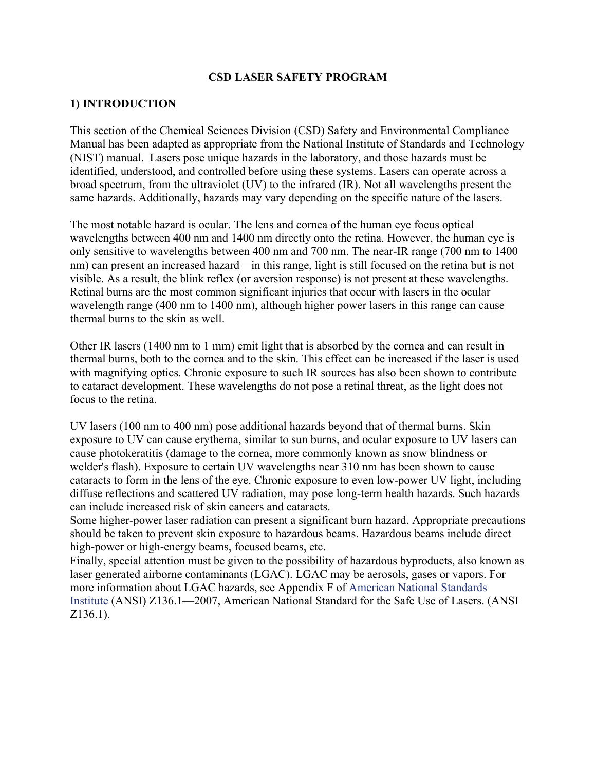#### **CSD LASER SAFETY PROGRAM**

## **1) INTRODUCTION**

This section of the Chemical Sciences Division (CSD) Safety and Environmental Compliance Manual has been adapted as appropriate from the National Institute of Standards and Technology (NIST) manual. Lasers pose unique hazards in the laboratory, and those hazards must be identified, understood, and controlled before using these systems. Lasers can operate across a broad spectrum, from the ultraviolet (UV) to the infrared (IR). Not all wavelengths present the same hazards. Additionally, hazards may vary depending on the specific nature of the lasers.

The most notable hazard is ocular. The lens and cornea of the human eye focus optical wavelengths between 400 nm and 1400 nm directly onto the retina. However, the human eye is only sensitive to wavelengths between 400 nm and 700 nm. The near-IR range (700 nm to 1400 nm) can present an increased hazard—in this range, light is still focused on the retina but is not visible. As a result, the blink reflex (or aversion response) is not present at these wavelengths. Retinal burns are the most common significant injuries that occur with lasers in the ocular wavelength range (400 nm to 1400 nm), although higher power lasers in this range can cause thermal burns to the skin as well.

Other IR lasers (1400 nm to 1 mm) emit light that is absorbed by the cornea and can result in thermal burns, both to the cornea and to the skin. This effect can be increased if the laser is used with magnifying optics. Chronic exposure to such IR sources has also been shown to contribute to cataract development. These wavelengths do not pose a retinal threat, as the light does not focus to the retina.

UV lasers (100 nm to 400 nm) pose additional hazards beyond that of thermal burns. Skin exposure to UV can cause erythema, similar to sun burns, and ocular exposure to UV lasers can cause photokeratitis (damage to the cornea, more commonly known as snow blindness or welder's flash). Exposure to certain UV wavelengths near 310 nm has been shown to cause cataracts to form in the lens of the eye. Chronic exposure to even low-power UV light, including diffuse reflections and scattered UV radiation, may pose long-term health hazards. Such hazards can include increased risk of skin cancers and cataracts.

Some higher-power laser radiation can present a significant burn hazard. Appropriate precautions should be taken to prevent skin exposure to hazardous beams. Hazardous beams include direct high-power or high-energy beams, focused beams, etc.

Finally, special attention must be given to the possibility of hazardous byproducts, also known as laser generated airborne contaminants (LGAC). LGAC may be aerosols, gases or vapors. For more information about LGAC hazards, see Appendix F of American National Standards Institute (ANSI) Z136.1—2007, American National Standard for the Safe Use of Lasers. (ANSI Z136.1).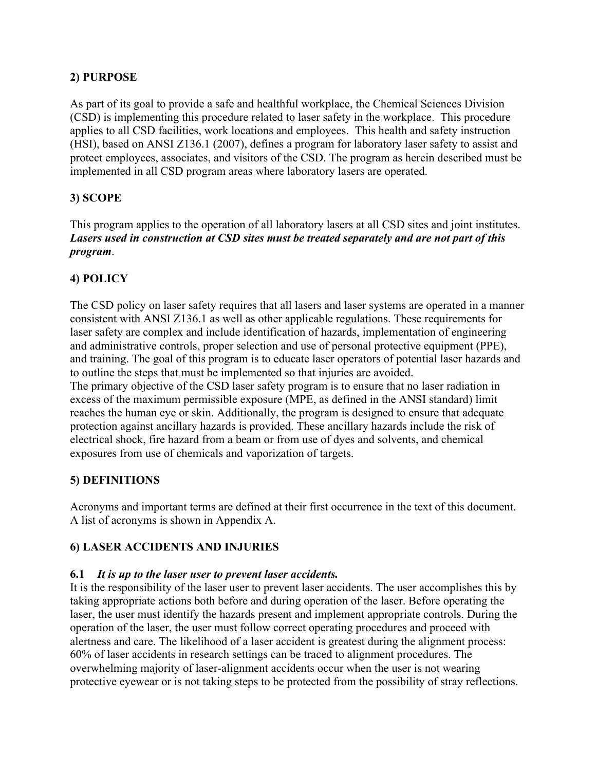## **2) PURPOSE**

As part of its goal to provide a safe and healthful workplace, the Chemical Sciences Division (CSD) is implementing this procedure related to laser safety in the workplace. This procedure applies to all CSD facilities, work locations and employees. This health and safety instruction (HSI), based on ANSI Z136.1 (2007), defines a program for laboratory laser safety to assist and protect employees, associates, and visitors of the CSD. The program as herein described must be implemented in all CSD program areas where laboratory lasers are operated.

## **3) SCOPE**

This program applies to the operation of all laboratory lasers at all CSD sites and joint institutes. *Lasers used in construction at CSD sites must be treated separately and are not part of this program*.

# **4) POLICY**

The CSD policy on laser safety requires that all lasers and laser systems are operated in a manner consistent with ANSI Z136.1 as well as other applicable regulations. These requirements for laser safety are complex and include identification of hazards, implementation of engineering and administrative controls, proper selection and use of personal protective equipment (PPE), and training. The goal of this program is to educate laser operators of potential laser hazards and to outline the steps that must be implemented so that injuries are avoided.

The primary objective of the CSD laser safety program is to ensure that no laser radiation in excess of the maximum permissible exposure (MPE, as defined in the ANSI standard) limit reaches the human eye or skin. Additionally, the program is designed to ensure that adequate protection against ancillary hazards is provided. These ancillary hazards include the risk of electrical shock, fire hazard from a beam or from use of dyes and solvents, and chemical exposures from use of chemicals and vaporization of targets.

## **5) DEFINITIONS**

Acronyms and important terms are defined at their first occurrence in the text of this document. A list of acronyms is shown in Appendix A.

## **6) LASER ACCIDENTS AND INJURIES**

## **6.1** *It is up to the laser user to prevent laser accidents.*

It is the responsibility of the laser user to prevent laser accidents. The user accomplishes this by taking appropriate actions both before and during operation of the laser. Before operating the laser, the user must identify the hazards present and implement appropriate controls. During the operation of the laser, the user must follow correct operating procedures and proceed with alertness and care. The likelihood of a laser accident is greatest during the alignment process: 60% of laser accidents in research settings can be traced to alignment procedures. The overwhelming majority of laser-alignment accidents occur when the user is not wearing protective eyewear or is not taking steps to be protected from the possibility of stray reflections.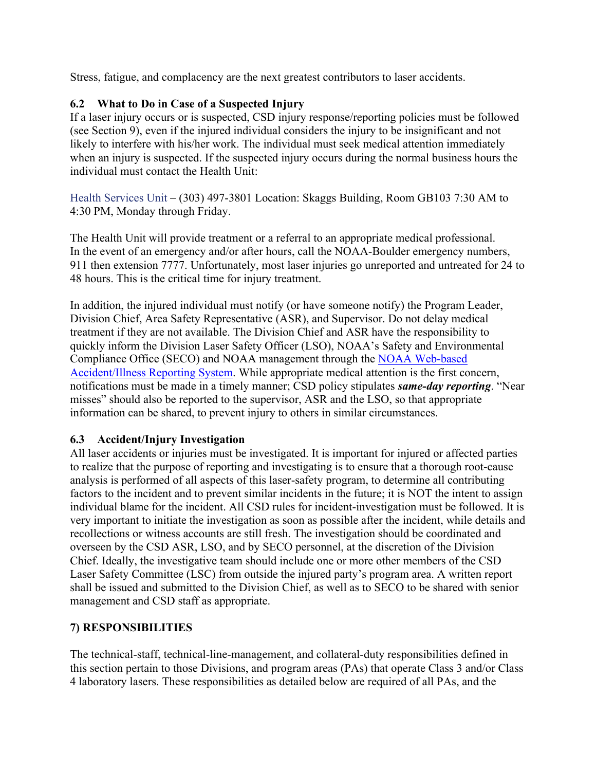Stress, fatigue, and complacency are the next greatest contributors to laser accidents.

## **6.2 What to Do in Case of a Suspected Injury**

If a laser injury occurs or is suspected, CSD injury response/reporting policies must be followed (see Section 9), even if the injured individual considers the injury to be insignificant and not likely to interfere with his/her work. The individual must seek medical attention immediately when an injury is suspected. If the suspected injury occurs during the normal business hours the individual must contact the Health Unit:

Health Services Unit – (303) 497-3801 Location: Skaggs Building, Room GB103 7:30 AM to 4:30 PM, Monday through Friday.

The Health Unit will provide treatment or a referral to an appropriate medical professional. In the event of an emergency and/or after hours, call the NOAA-Boulder emergency numbers, 911 then extension 7777. Unfortunately, most laser injuries go unreported and untreated for 24 to 48 hours. This is the critical time for injury treatment.

In addition, the injured individual must notify (or have someone notify) the Program Leader, Division Chief, Area Safety Representative (ASR), and Supervisor. Do not delay medical treatment if they are not available. The Division Chief and ASR have the responsibility to quickly inform the Division Laser Safety Officer (LSO), NOAA's Safety and Environmental Compliance Office (SECO) and NOAA management through the NOAA Web-based Accident/Illness Reporting System. While appropriate medical attention is the first concern, notifications must be made in a timely manner; CSD policy stipulates *same-day reporting*. "Near misses" should also be reported to the supervisor, ASR and the LSO, so that appropriate information can be shared, to prevent injury to others in similar circumstances.

# **6.3 Accident/Injury Investigation**

All laser accidents or injuries must be investigated. It is important for injured or affected parties to realize that the purpose of reporting and investigating is to ensure that a thorough root-cause analysis is performed of all aspects of this laser-safety program, to determine all contributing factors to the incident and to prevent similar incidents in the future; it is NOT the intent to assign individual blame for the incident. All CSD rules for incident-investigation must be followed. It is very important to initiate the investigation as soon as possible after the incident, while details and recollections or witness accounts are still fresh. The investigation should be coordinated and overseen by the CSD ASR, LSO, and by SECO personnel, at the discretion of the Division Chief. Ideally, the investigative team should include one or more other members of the CSD Laser Safety Committee (LSC) from outside the injured party's program area. A written report shall be issued and submitted to the Division Chief, as well as to SECO to be shared with senior management and CSD staff as appropriate.

# **7) RESPONSIBILITIES**

The technical-staff, technical-line-management, and collateral-duty responsibilities defined in this section pertain to those Divisions, and program areas (PAs) that operate Class 3 and/or Class 4 laboratory lasers. These responsibilities as detailed below are required of all PAs, and the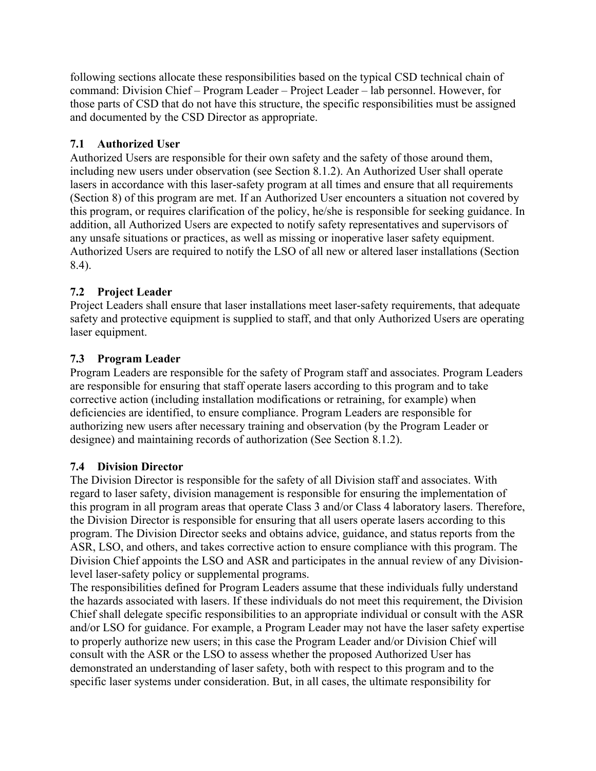following sections allocate these responsibilities based on the typical CSD technical chain of command: Division Chief – Program Leader – Project Leader – lab personnel. However, for those parts of CSD that do not have this structure, the specific responsibilities must be assigned and documented by the CSD Director as appropriate.

# **7.1 Authorized User**

Authorized Users are responsible for their own safety and the safety of those around them, including new users under observation (see Section 8.1.2). An Authorized User shall operate lasers in accordance with this laser-safety program at all times and ensure that all requirements (Section 8) of this program are met. If an Authorized User encounters a situation not covered by this program, or requires clarification of the policy, he/she is responsible for seeking guidance. In addition, all Authorized Users are expected to notify safety representatives and supervisors of any unsafe situations or practices, as well as missing or inoperative laser safety equipment. Authorized Users are required to notify the LSO of all new or altered laser installations (Section 8.4).

# **7.2 Project Leader**

Project Leaders shall ensure that laser installations meet laser-safety requirements, that adequate safety and protective equipment is supplied to staff, and that only Authorized Users are operating laser equipment.

# **7.3 Program Leader**

Program Leaders are responsible for the safety of Program staff and associates. Program Leaders are responsible for ensuring that staff operate lasers according to this program and to take corrective action (including installation modifications or retraining, for example) when deficiencies are identified, to ensure compliance. Program Leaders are responsible for authorizing new users after necessary training and observation (by the Program Leader or designee) and maintaining records of authorization (See Section 8.1.2).

# **7.4 Division Director**

The Division Director is responsible for the safety of all Division staff and associates. With regard to laser safety, division management is responsible for ensuring the implementation of this program in all program areas that operate Class 3 and/or Class 4 laboratory lasers. Therefore, the Division Director is responsible for ensuring that all users operate lasers according to this program. The Division Director seeks and obtains advice, guidance, and status reports from the ASR, LSO, and others, and takes corrective action to ensure compliance with this program. The Division Chief appoints the LSO and ASR and participates in the annual review of any Divisionlevel laser-safety policy or supplemental programs.

The responsibilities defined for Program Leaders assume that these individuals fully understand the hazards associated with lasers. If these individuals do not meet this requirement, the Division Chief shall delegate specific responsibilities to an appropriate individual or consult with the ASR and/or LSO for guidance. For example, a Program Leader may not have the laser safety expertise to properly authorize new users; in this case the Program Leader and/or Division Chief will consult with the ASR or the LSO to assess whether the proposed Authorized User has demonstrated an understanding of laser safety, both with respect to this program and to the specific laser systems under consideration. But, in all cases, the ultimate responsibility for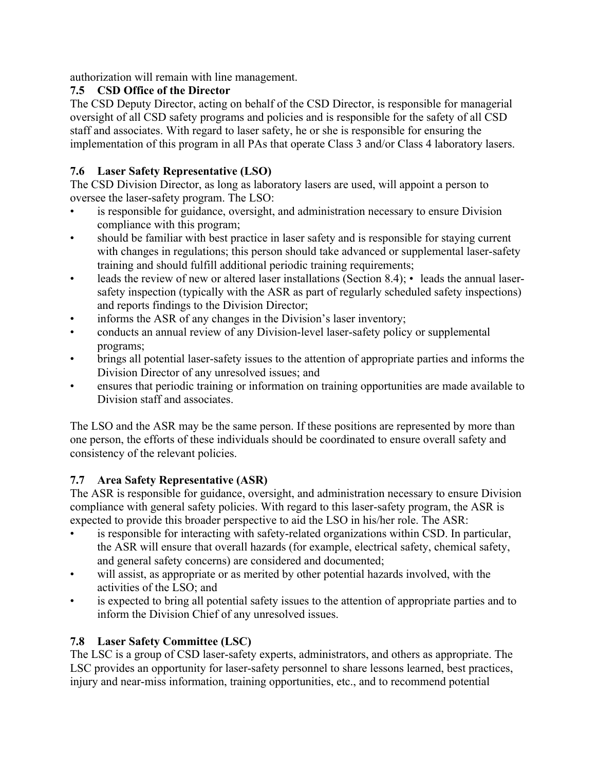authorization will remain with line management.

# **7.5 CSD Office of the Director**

The CSD Deputy Director, acting on behalf of the CSD Director, is responsible for managerial oversight of all CSD safety programs and policies and is responsible for the safety of all CSD staff and associates. With regard to laser safety, he or she is responsible for ensuring the implementation of this program in all PAs that operate Class 3 and/or Class 4 laboratory lasers.

# **7.6 Laser Safety Representative (LSO)**

The CSD Division Director, as long as laboratory lasers are used, will appoint a person to oversee the laser-safety program. The LSO:

- is responsible for guidance, oversight, and administration necessary to ensure Division compliance with this program;
- should be familiar with best practice in laser safety and is responsible for staying current with changes in regulations; this person should take advanced or supplemental laser-safety training and should fulfill additional periodic training requirements;
- leads the review of new or altered laser installations (Section 8.4); leads the annual lasersafety inspection (typically with the ASR as part of regularly scheduled safety inspections) and reports findings to the Division Director;
- informs the ASR of any changes in the Division's laser inventory;
- conducts an annual review of any Division-level laser-safety policy or supplemental programs;
- brings all potential laser-safety issues to the attention of appropriate parties and informs the Division Director of any unresolved issues; and
- ensures that periodic training or information on training opportunities are made available to Division staff and associates.

The LSO and the ASR may be the same person. If these positions are represented by more than one person, the efforts of these individuals should be coordinated to ensure overall safety and consistency of the relevant policies.

# **7.7 Area Safety Representative (ASR)**

The ASR is responsible for guidance, oversight, and administration necessary to ensure Division compliance with general safety policies. With regard to this laser-safety program, the ASR is expected to provide this broader perspective to aid the LSO in his/her role. The ASR:

- is responsible for interacting with safety-related organizations within CSD. In particular, the ASR will ensure that overall hazards (for example, electrical safety, chemical safety, and general safety concerns) are considered and documented;
- will assist, as appropriate or as merited by other potential hazards involved, with the activities of the LSO; and
- is expected to bring all potential safety issues to the attention of appropriate parties and to inform the Division Chief of any unresolved issues.

# **7.8 Laser Safety Committee (LSC)**

The LSC is a group of CSD laser-safety experts, administrators, and others as appropriate. The LSC provides an opportunity for laser-safety personnel to share lessons learned, best practices, injury and near-miss information, training opportunities, etc., and to recommend potential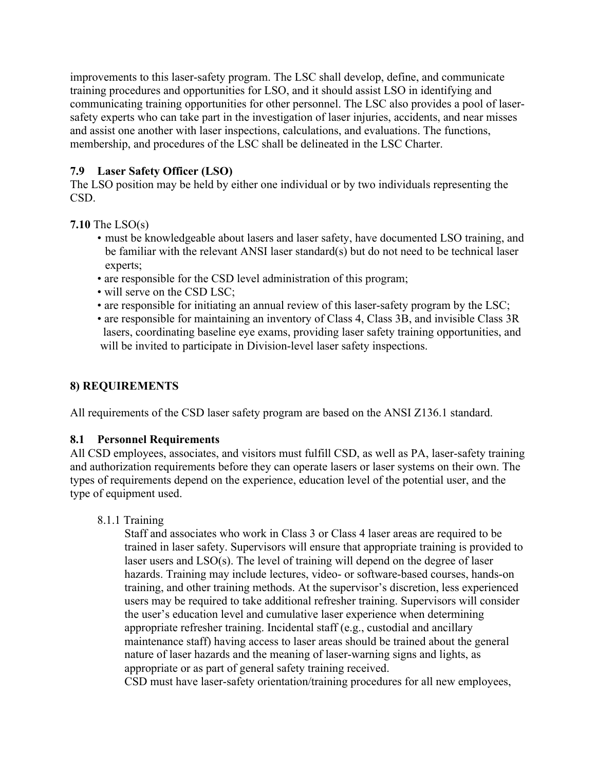improvements to this laser-safety program. The LSC shall develop, define, and communicate training procedures and opportunities for LSO, and it should assist LSO in identifying and communicating training opportunities for other personnel. The LSC also provides a pool of lasersafety experts who can take part in the investigation of laser injuries, accidents, and near misses and assist one another with laser inspections, calculations, and evaluations. The functions, membership, and procedures of the LSC shall be delineated in the LSC Charter.

## **7.9 Laser Safety Officer (LSO)**

The LSO position may be held by either one individual or by two individuals representing the CSD.

## **7.10** The LSO(s)

- must be knowledgeable about lasers and laser safety, have documented LSO training, and be familiar with the relevant ANSI laser standard(s) but do not need to be technical laser experts;
- are responsible for the CSD level administration of this program;
- will serve on the CSD LSC;
- are responsible for initiating an annual review of this laser-safety program by the LSC;
- are responsible for maintaining an inventory of Class 4, Class 3B, and invisible Class 3R lasers, coordinating baseline eye exams, providing laser safety training opportunities, and will be invited to participate in Division-level laser safety inspections.

## **8) REQUIREMENTS**

All requirements of the CSD laser safety program are based on the ANSI Z136.1 standard.

## **8.1 Personnel Requirements**

All CSD employees, associates, and visitors must fulfill CSD, as well as PA, laser-safety training and authorization requirements before they can operate lasers or laser systems on their own. The types of requirements depend on the experience, education level of the potential user, and the type of equipment used.

## 8.1.1 Training

Staff and associates who work in Class 3 or Class 4 laser areas are required to be trained in laser safety. Supervisors will ensure that appropriate training is provided to laser users and LSO(s). The level of training will depend on the degree of laser hazards. Training may include lectures, video- or software-based courses, hands-on training, and other training methods. At the supervisor's discretion, less experienced users may be required to take additional refresher training. Supervisors will consider the user's education level and cumulative laser experience when determining appropriate refresher training. Incidental staff (e.g., custodial and ancillary maintenance staff) having access to laser areas should be trained about the general nature of laser hazards and the meaning of laser-warning signs and lights, as appropriate or as part of general safety training received.

CSD must have laser-safety orientation/training procedures for all new employees,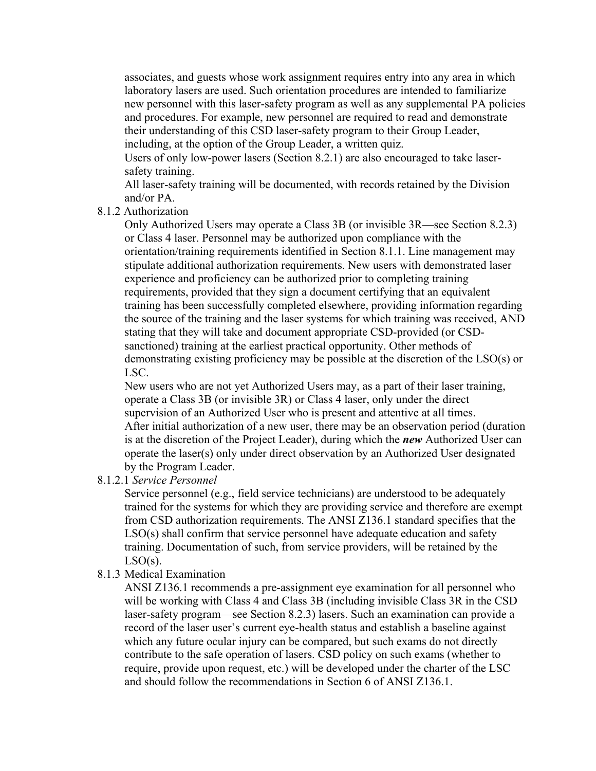associates, and guests whose work assignment requires entry into any area in which laboratory lasers are used. Such orientation procedures are intended to familiarize new personnel with this laser-safety program as well as any supplemental PA policies and procedures. For example, new personnel are required to read and demonstrate their understanding of this CSD laser-safety program to their Group Leader, including, at the option of the Group Leader, a written quiz.

Users of only low-power lasers (Section 8.2.1) are also encouraged to take lasersafety training.

All laser-safety training will be documented, with records retained by the Division and/or PA.

8.1.2 Authorization

Only Authorized Users may operate a Class 3B (or invisible 3R—see Section 8.2.3) or Class 4 laser. Personnel may be authorized upon compliance with the orientation/training requirements identified in Section 8.1.1. Line management may stipulate additional authorization requirements. New users with demonstrated laser experience and proficiency can be authorized prior to completing training requirements, provided that they sign a document certifying that an equivalent training has been successfully completed elsewhere, providing information regarding the source of the training and the laser systems for which training was received, AND stating that they will take and document appropriate CSD-provided (or CSDsanctioned) training at the earliest practical opportunity. Other methods of demonstrating existing proficiency may be possible at the discretion of the LSO(s) or LSC.

New users who are not yet Authorized Users may, as a part of their laser training, operate a Class 3B (or invisible 3R) or Class 4 laser, only under the direct supervision of an Authorized User who is present and attentive at all times. After initial authorization of a new user, there may be an observation period (duration is at the discretion of the Project Leader), during which the *new* Authorized User can operate the laser(s) only under direct observation by an Authorized User designated by the Program Leader.

8.1.2.1 *Service Personnel*

Service personnel (e.g., field service technicians) are understood to be adequately trained for the systems for which they are providing service and therefore are exempt from CSD authorization requirements. The ANSI Z136.1 standard specifies that the LSO(s) shall confirm that service personnel have adequate education and safety training. Documentation of such, from service providers, will be retained by the  $LSO(s)$ .

8.1.3 Medical Examination

ANSI Z136.1 recommends a pre-assignment eye examination for all personnel who will be working with Class 4 and Class 3B (including invisible Class 3R in the CSD laser-safety program—see Section 8.2.3) lasers. Such an examination can provide a record of the laser user's current eye-health status and establish a baseline against which any future ocular injury can be compared, but such exams do not directly contribute to the safe operation of lasers. CSD policy on such exams (whether to require, provide upon request, etc.) will be developed under the charter of the LSC and should follow the recommendations in Section 6 of ANSI Z136.1.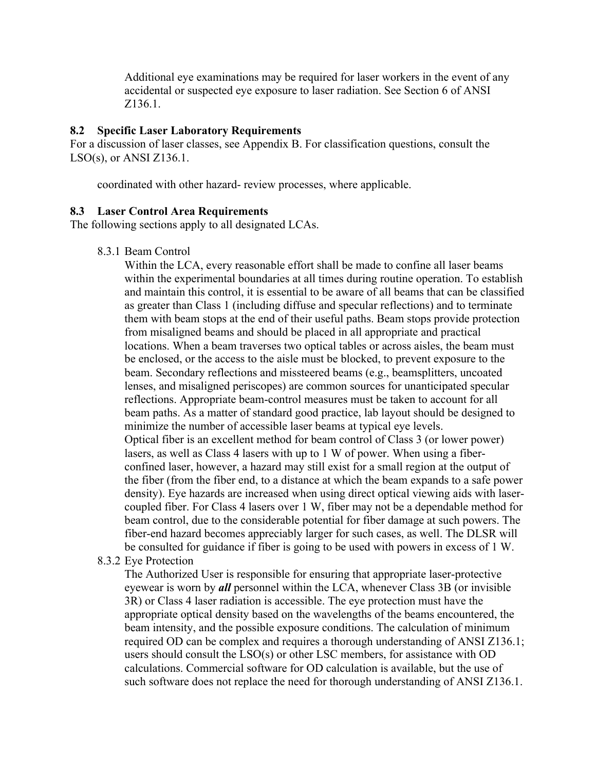Additional eye examinations may be required for laser workers in the event of any accidental or suspected eye exposure to laser radiation. See Section 6 of ANSI Z136.1.

#### **8.2 Specific Laser Laboratory Requirements**

For a discussion of laser classes, see Appendix B. For classification questions, consult the LSO(s), or ANSI Z136.1.

coordinated with other hazard- review processes, where applicable.

#### **8.3 Laser Control Area Requirements**

The following sections apply to all designated LCAs.

8.3.1 Beam Control

Within the LCA, every reasonable effort shall be made to confine all laser beams within the experimental boundaries at all times during routine operation. To establish and maintain this control, it is essential to be aware of all beams that can be classified as greater than Class 1 (including diffuse and specular reflections) and to terminate them with beam stops at the end of their useful paths. Beam stops provide protection from misaligned beams and should be placed in all appropriate and practical locations. When a beam traverses two optical tables or across aisles, the beam must be enclosed, or the access to the aisle must be blocked, to prevent exposure to the beam. Secondary reflections and missteered beams (e.g., beamsplitters, uncoated lenses, and misaligned periscopes) are common sources for unanticipated specular reflections. Appropriate beam-control measures must be taken to account for all beam paths. As a matter of standard good practice, lab layout should be designed to minimize the number of accessible laser beams at typical eye levels. Optical fiber is an excellent method for beam control of Class 3 (or lower power) lasers, as well as Class 4 lasers with up to 1 W of power. When using a fiberconfined laser, however, a hazard may still exist for a small region at the output of the fiber (from the fiber end, to a distance at which the beam expands to a safe power density). Eye hazards are increased when using direct optical viewing aids with lasercoupled fiber. For Class 4 lasers over 1 W, fiber may not be a dependable method for beam control, due to the considerable potential for fiber damage at such powers. The fiber-end hazard becomes appreciably larger for such cases, as well. The DLSR will be consulted for guidance if fiber is going to be used with powers in excess of 1 W.

#### 8.3.2 Eye Protection

The Authorized User is responsible for ensuring that appropriate laser-protective eyewear is worn by *all* personnel within the LCA, whenever Class 3B (or invisible 3R) or Class 4 laser radiation is accessible. The eye protection must have the appropriate optical density based on the wavelengths of the beams encountered, the beam intensity, and the possible exposure conditions. The calculation of minimum required OD can be complex and requires a thorough understanding of ANSI Z136.1; users should consult the LSO(s) or other LSC members, for assistance with OD calculations. Commercial software for OD calculation is available, but the use of such software does not replace the need for thorough understanding of ANSI Z136.1.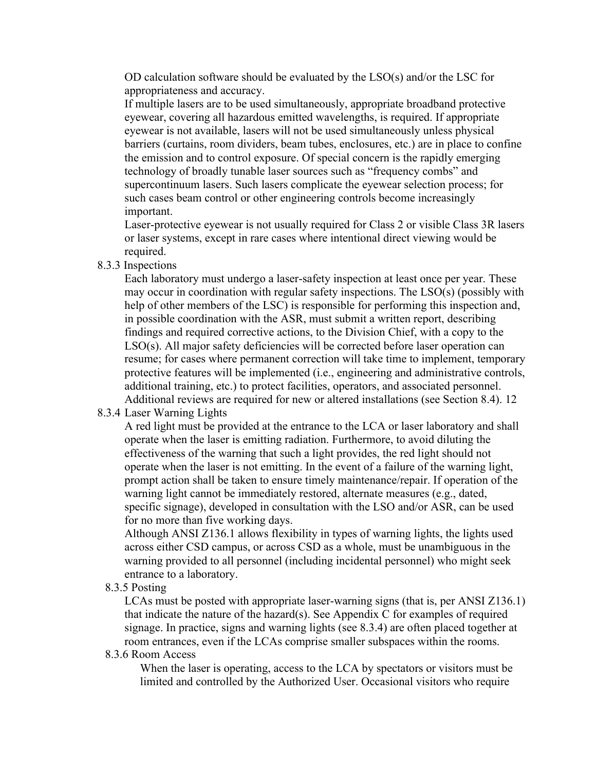OD calculation software should be evaluated by the LSO(s) and/or the LSC for appropriateness and accuracy.

If multiple lasers are to be used simultaneously, appropriate broadband protective eyewear, covering all hazardous emitted wavelengths, is required. If appropriate eyewear is not available, lasers will not be used simultaneously unless physical barriers (curtains, room dividers, beam tubes, enclosures, etc.) are in place to confine the emission and to control exposure. Of special concern is the rapidly emerging technology of broadly tunable laser sources such as "frequency combs" and supercontinuum lasers. Such lasers complicate the eyewear selection process; for such cases beam control or other engineering controls become increasingly important.

Laser-protective eyewear is not usually required for Class 2 or visible Class 3R lasers or laser systems, except in rare cases where intentional direct viewing would be required.

8.3.3 Inspections

Each laboratory must undergo a laser-safety inspection at least once per year. These may occur in coordination with regular safety inspections. The LSO(s) (possibly with help of other members of the LSC) is responsible for performing this inspection and, in possible coordination with the ASR, must submit a written report, describing findings and required corrective actions, to the Division Chief, with a copy to the LSO(s). All major safety deficiencies will be corrected before laser operation can resume; for cases where permanent correction will take time to implement, temporary protective features will be implemented (i.e., engineering and administrative controls, additional training, etc.) to protect facilities, operators, and associated personnel. Additional reviews are required for new or altered installations (see Section 8.4). 12

8.3.4 Laser Warning Lights

A red light must be provided at the entrance to the LCA or laser laboratory and shall operate when the laser is emitting radiation. Furthermore, to avoid diluting the effectiveness of the warning that such a light provides, the red light should not operate when the laser is not emitting. In the event of a failure of the warning light, prompt action shall be taken to ensure timely maintenance/repair. If operation of the warning light cannot be immediately restored, alternate measures (e.g., dated, specific signage), developed in consultation with the LSO and/or ASR, can be used for no more than five working days.

Although ANSI Z136.1 allows flexibility in types of warning lights, the lights used across either CSD campus, or across CSD as a whole, must be unambiguous in the warning provided to all personnel (including incidental personnel) who might seek entrance to a laboratory.

8.3.5 Posting

LCAs must be posted with appropriate laser-warning signs (that is, per ANSI Z136.1) that indicate the nature of the hazard(s). See Appendix C for examples of required signage. In practice, signs and warning lights (see 8.3.4) are often placed together at room entrances, even if the LCAs comprise smaller subspaces within the rooms.

#### 8.3.6 Room Access

When the laser is operating, access to the LCA by spectators or visitors must be limited and controlled by the Authorized User. Occasional visitors who require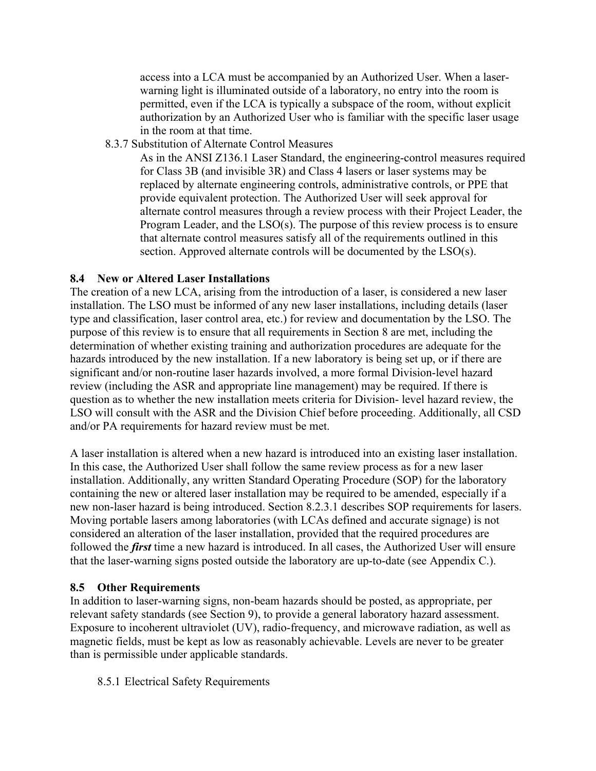access into a LCA must be accompanied by an Authorized User. When a laserwarning light is illuminated outside of a laboratory, no entry into the room is permitted, even if the LCA is typically a subspace of the room, without explicit authorization by an Authorized User who is familiar with the specific laser usage in the room at that time.

8.3.7 Substitution of Alternate Control Measures

As in the ANSI Z136.1 Laser Standard, the engineering-control measures required for Class 3B (and invisible 3R) and Class 4 lasers or laser systems may be replaced by alternate engineering controls, administrative controls, or PPE that provide equivalent protection. The Authorized User will seek approval for alternate control measures through a review process with their Project Leader, the Program Leader, and the LSO(s). The purpose of this review process is to ensure that alternate control measures satisfy all of the requirements outlined in this section. Approved alternate controls will be documented by the LSO(s).

#### **8.4 New or Altered Laser Installations**

The creation of a new LCA, arising from the introduction of a laser, is considered a new laser installation. The LSO must be informed of any new laser installations, including details (laser type and classification, laser control area, etc.) for review and documentation by the LSO. The purpose of this review is to ensure that all requirements in Section 8 are met, including the determination of whether existing training and authorization procedures are adequate for the hazards introduced by the new installation. If a new laboratory is being set up, or if there are significant and/or non-routine laser hazards involved, a more formal Division-level hazard review (including the ASR and appropriate line management) may be required. If there is question as to whether the new installation meets criteria for Division- level hazard review, the LSO will consult with the ASR and the Division Chief before proceeding. Additionally, all CSD and/or PA requirements for hazard review must be met.

A laser installation is altered when a new hazard is introduced into an existing laser installation. In this case, the Authorized User shall follow the same review process as for a new laser installation. Additionally, any written Standard Operating Procedure (SOP) for the laboratory containing the new or altered laser installation may be required to be amended, especially if a new non-laser hazard is being introduced. Section 8.2.3.1 describes SOP requirements for lasers. Moving portable lasers among laboratories (with LCAs defined and accurate signage) is not considered an alteration of the laser installation, provided that the required procedures are followed the *first* time a new hazard is introduced. In all cases, the Authorized User will ensure that the laser-warning signs posted outside the laboratory are up-to-date (see Appendix C.).

## **8.5 Other Requirements**

In addition to laser-warning signs, non-beam hazards should be posted, as appropriate, per relevant safety standards (see Section 9), to provide a general laboratory hazard assessment. Exposure to incoherent ultraviolet (UV), radio-frequency, and microwave radiation, as well as magnetic fields, must be kept as low as reasonably achievable. Levels are never to be greater than is permissible under applicable standards.

8.5.1 Electrical Safety Requirements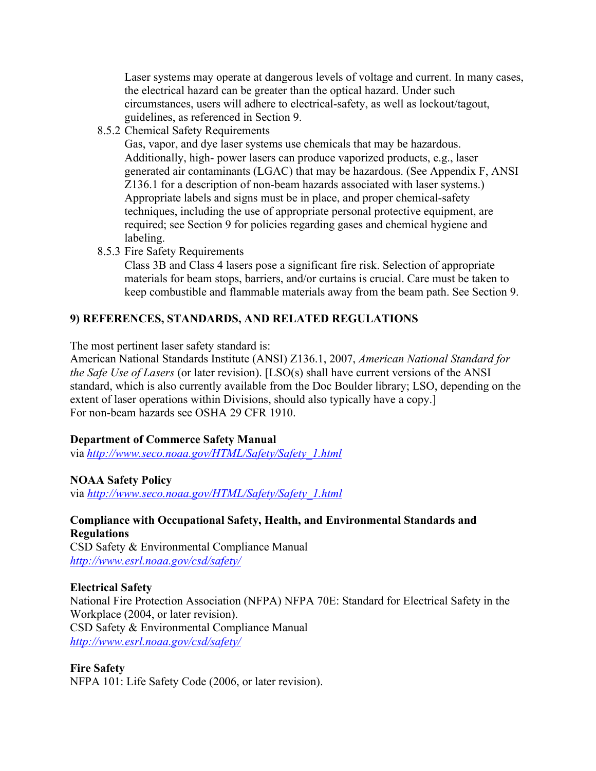Laser systems may operate at dangerous levels of voltage and current. In many cases, the electrical hazard can be greater than the optical hazard. Under such circumstances, users will adhere to electrical-safety, as well as lockout/tagout, guidelines, as referenced in Section 9.

8.5.2 Chemical Safety Requirements

Gas, vapor, and dye laser systems use chemicals that may be hazardous. Additionally, high- power lasers can produce vaporized products, e.g., laser generated air contaminants (LGAC) that may be hazardous. (See Appendix F, ANSI Z136.1 for a description of non-beam hazards associated with laser systems.) Appropriate labels and signs must be in place, and proper chemical-safety techniques, including the use of appropriate personal protective equipment, are required; see Section 9 for policies regarding gases and chemical hygiene and labeling.

8.5.3 Fire Safety Requirements

Class 3B and Class 4 lasers pose a significant fire risk. Selection of appropriate materials for beam stops, barriers, and/or curtains is crucial. Care must be taken to keep combustible and flammable materials away from the beam path. See Section 9.

## **9) REFERENCES, STANDARDS, AND RELATED REGULATIONS**

The most pertinent laser safety standard is:

American National Standards Institute (ANSI) Z136.1, 2007, *American National Standard for the Safe Use of Lasers* (or later revision). [LSO(s) shall have current versions of the ANSI standard, which is also currently available from the Doc Boulder library; LSO, depending on the extent of laser operations within Divisions, should also typically have a copy.] For non-beam hazards see OSHA 29 CFR 1910.

## **Department of Commerce Safety Manual**

via *http://www.seco.noaa.gov/HTML/Safety/Safety\_1.html*

## **NOAA Safety Policy**

via *http://www.seco.noaa.gov/HTML/Safety/Safety\_1.html*

## **Compliance with Occupational Safety, Health, and Environmental Standards and Regulations**

CSD Safety & Environmental Compliance Manual *http://www.esrl.noaa.gov/csd/safety/*

## **Electrical Safety**

National Fire Protection Association (NFPA) NFPA 70E: Standard for Electrical Safety in the Workplace (2004, or later revision). CSD Safety & Environmental Compliance Manual *http://www.esrl.noaa.gov/csd/safety/*

## **Fire Safety**

NFPA 101: Life Safety Code (2006, or later revision).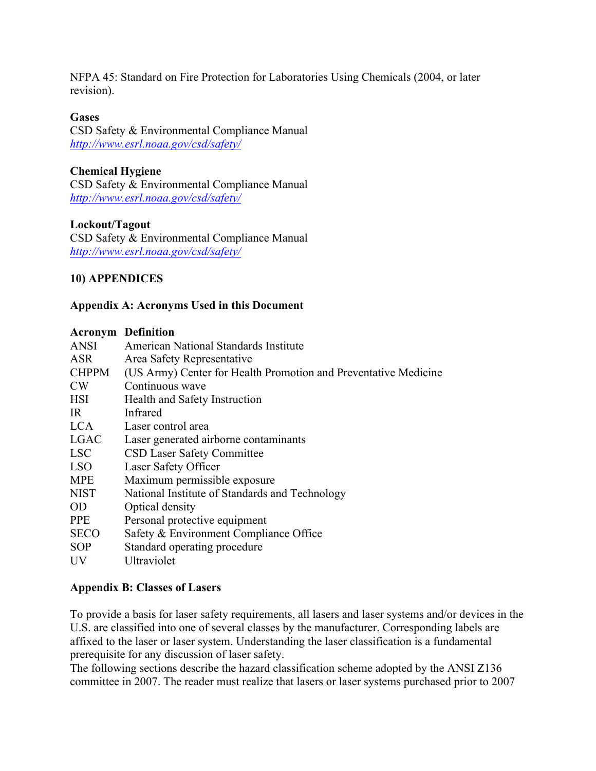NFPA 45: Standard on Fire Protection for Laboratories Using Chemicals (2004, or later revision).

#### **Gases**

CSD Safety & Environmental Compliance Manual *http://www.esrl.noaa.gov/csd/safety/*

#### **Chemical Hygiene**

CSD Safety & Environmental Compliance Manual *http://www.esrl.noaa.gov/csd/safety/*

#### **Lockout/Tagout**

CSD Safety & Environmental Compliance Manual *http://www.esrl.noaa.gov/csd/safety/*

#### **10) APPENDICES**

#### **Appendix A: Acronyms Used in this Document**

#### **Acronym Definition**

| <b>ANSI</b>  | American National Standards Institute                           |
|--------------|-----------------------------------------------------------------|
| <b>ASR</b>   | Area Safety Representative                                      |
| <b>CHPPM</b> | (US Army) Center for Health Promotion and Preventative Medicine |
| <b>CW</b>    | Continuous wave                                                 |
| <b>HSI</b>   | Health and Safety Instruction                                   |
| IR           | Infrared                                                        |
| <b>LCA</b>   | Laser control area                                              |
| <b>LGAC</b>  | Laser generated airborne contaminants                           |
| LSC          | <b>CSD Laser Safety Committee</b>                               |
| <b>LSO</b>   | Laser Safety Officer                                            |
| <b>MPE</b>   | Maximum permissible exposure                                    |
| <b>NIST</b>  | National Institute of Standards and Technology                  |
| 0D           | Optical density                                                 |
| <b>PPE</b>   | Personal protective equipment                                   |
| <b>SECO</b>  | Safety & Environment Compliance Office                          |
| <b>SOP</b>   | Standard operating procedure                                    |
| UV           | Ultraviolet                                                     |
|              |                                                                 |

#### **Appendix B: Classes of Lasers**

To provide a basis for laser safety requirements, all lasers and laser systems and/or devices in the U.S. are classified into one of several classes by the manufacturer. Corresponding labels are affixed to the laser or laser system. Understanding the laser classification is a fundamental prerequisite for any discussion of laser safety.

The following sections describe the hazard classification scheme adopted by the ANSI Z136 committee in 2007. The reader must realize that lasers or laser systems purchased prior to 2007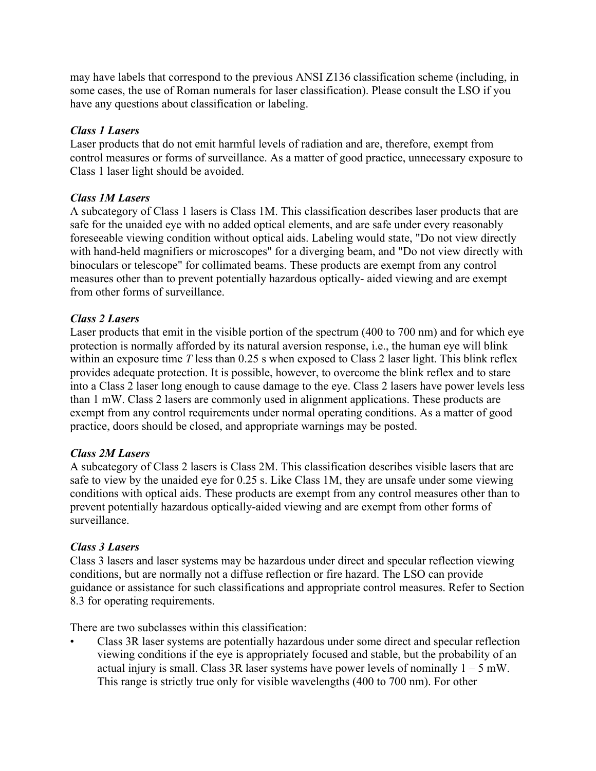may have labels that correspond to the previous ANSI Z136 classification scheme (including, in some cases, the use of Roman numerals for laser classification). Please consult the LSO if you have any questions about classification or labeling.

#### *Class 1 Lasers*

Laser products that do not emit harmful levels of radiation and are, therefore, exempt from control measures or forms of surveillance. As a matter of good practice, unnecessary exposure to Class 1 laser light should be avoided.

#### *Class 1M Lasers*

A subcategory of Class 1 lasers is Class 1M. This classification describes laser products that are safe for the unaided eye with no added optical elements, and are safe under every reasonably foreseeable viewing condition without optical aids. Labeling would state, "Do not view directly with hand-held magnifiers or microscopes" for a diverging beam, and "Do not view directly with binoculars or telescope" for collimated beams. These products are exempt from any control measures other than to prevent potentially hazardous optically- aided viewing and are exempt from other forms of surveillance.

#### *Class 2 Lasers*

Laser products that emit in the visible portion of the spectrum (400 to 700 nm) and for which eye protection is normally afforded by its natural aversion response, i.e., the human eye will blink within an exposure time *T* less than 0.25 s when exposed to Class 2 laser light. This blink reflex provides adequate protection. It is possible, however, to overcome the blink reflex and to stare into a Class 2 laser long enough to cause damage to the eye. Class 2 lasers have power levels less than 1 mW. Class 2 lasers are commonly used in alignment applications. These products are exempt from any control requirements under normal operating conditions. As a matter of good practice, doors should be closed, and appropriate warnings may be posted.

#### *Class 2M Lasers*

A subcategory of Class 2 lasers is Class 2M. This classification describes visible lasers that are safe to view by the unaided eye for 0.25 s. Like Class 1M, they are unsafe under some viewing conditions with optical aids. These products are exempt from any control measures other than to prevent potentially hazardous optically-aided viewing and are exempt from other forms of surveillance.

#### *Class 3 Lasers*

Class 3 lasers and laser systems may be hazardous under direct and specular reflection viewing conditions, but are normally not a diffuse reflection or fire hazard. The LSO can provide guidance or assistance for such classifications and appropriate control measures. Refer to Section 8.3 for operating requirements.

There are two subclasses within this classification:

• Class 3R laser systems are potentially hazardous under some direct and specular reflection viewing conditions if the eye is appropriately focused and stable, but the probability of an actual injury is small. Class 3R laser systems have power levels of nominally  $1 - 5$  mW. This range is strictly true only for visible wavelengths (400 to 700 nm). For other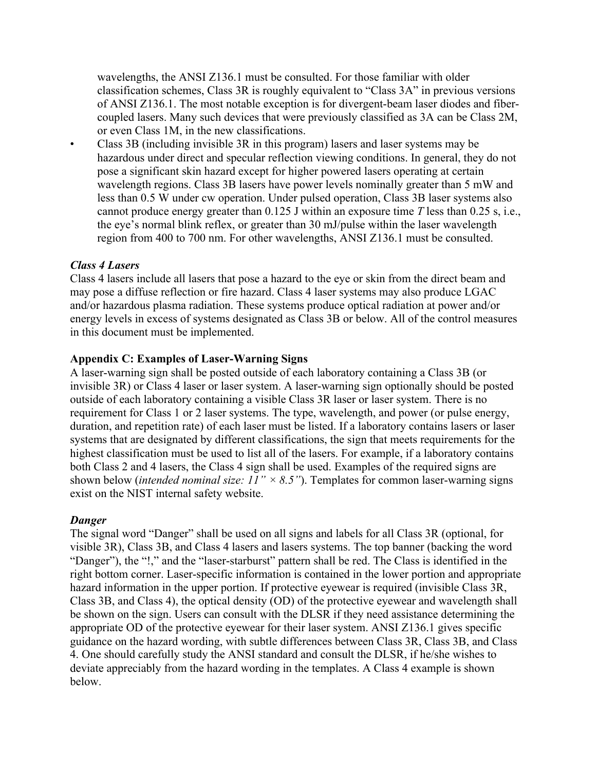wavelengths, the ANSI Z136.1 must be consulted. For those familiar with older classification schemes, Class 3R is roughly equivalent to "Class 3A" in previous versions of ANSI Z136.1. The most notable exception is for divergent-beam laser diodes and fibercoupled lasers. Many such devices that were previously classified as 3A can be Class 2M, or even Class 1M, in the new classifications.

• Class 3B (including invisible 3R in this program) lasers and laser systems may be hazardous under direct and specular reflection viewing conditions. In general, they do not pose a significant skin hazard except for higher powered lasers operating at certain wavelength regions. Class 3B lasers have power levels nominally greater than 5 mW and less than 0.5 W under cw operation. Under pulsed operation, Class 3B laser systems also cannot produce energy greater than 0.125 J within an exposure time *T* less than 0.25 s, i.e., the eye's normal blink reflex, or greater than 30 mJ/pulse within the laser wavelength region from 400 to 700 nm. For other wavelengths, ANSI Z136.1 must be consulted.

#### *Class 4 Lasers*

Class 4 lasers include all lasers that pose a hazard to the eye or skin from the direct beam and may pose a diffuse reflection or fire hazard. Class 4 laser systems may also produce LGAC and/or hazardous plasma radiation. These systems produce optical radiation at power and/or energy levels in excess of systems designated as Class 3B or below. All of the control measures in this document must be implemented.

#### **Appendix C: Examples of Laser-Warning Signs**

A laser-warning sign shall be posted outside of each laboratory containing a Class 3B (or invisible 3R) or Class 4 laser or laser system. A laser-warning sign optionally should be posted outside of each laboratory containing a visible Class 3R laser or laser system. There is no requirement for Class 1 or 2 laser systems. The type, wavelength, and power (or pulse energy, duration, and repetition rate) of each laser must be listed. If a laboratory contains lasers or laser systems that are designated by different classifications, the sign that meets requirements for the highest classification must be used to list all of the lasers. For example, if a laboratory contains both Class 2 and 4 lasers, the Class 4 sign shall be used. Examples of the required signs are shown below (*intended nominal size: 11" × 8.5"*). Templates for common laser-warning signs exist on the NIST internal safety website.

#### *Danger*

The signal word "Danger" shall be used on all signs and labels for all Class 3R (optional, for visible 3R), Class 3B, and Class 4 lasers and lasers systems. The top banner (backing the word "Danger"), the "!," and the "laser-starburst" pattern shall be red. The Class is identified in the right bottom corner. Laser-specific information is contained in the lower portion and appropriate hazard information in the upper portion. If protective eyewear is required (invisible Class 3R, Class 3B, and Class 4), the optical density (OD) of the protective eyewear and wavelength shall be shown on the sign. Users can consult with the DLSR if they need assistance determining the appropriate OD of the protective eyewear for their laser system. ANSI Z136.1 gives specific guidance on the hazard wording, with subtle differences between Class 3R, Class 3B, and Class 4. One should carefully study the ANSI standard and consult the DLSR, if he/she wishes to deviate appreciably from the hazard wording in the templates. A Class 4 example is shown below.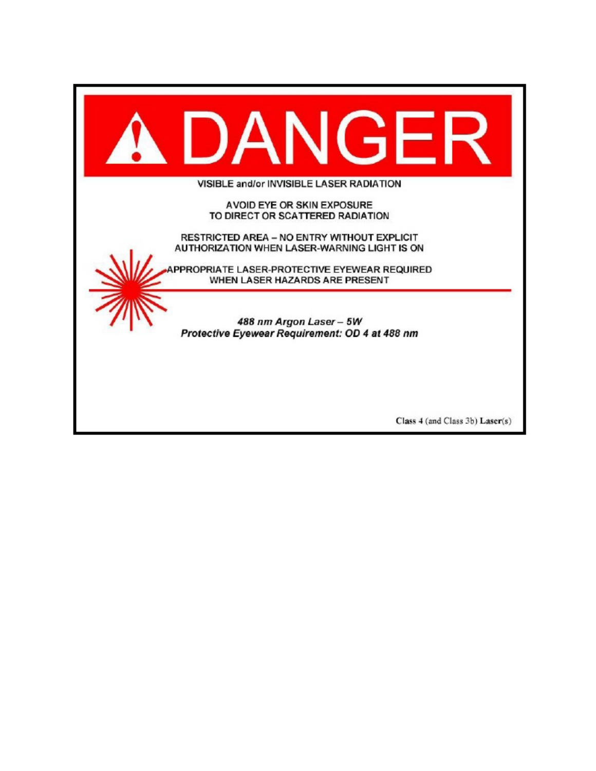| VISIBLE and/or INVISIBLE LASER RADIATION                                                    |
|---------------------------------------------------------------------------------------------|
| AVOID EYE OR SKIN EXPOSURE<br>TO DIRECT OR SCATTERED RADIATION                              |
| RESTRICTED AREA – NO ENTRY WITHOUT EXPLICIT<br>AUTHORIZATION WHEN LASER-WARNING LIGHT IS ON |
| PPROPRIATE LASER-PROTECTIVE EYEWEAR REQUIRED<br>WHEN LASER HAZARDS ARE PRESENT              |
| 488 nm Argon Laser - 5W<br>Protective Eyewear Requirement: OD 4 at 488 nm                   |
|                                                                                             |
| Class 4 (and Class 3b) Laser(s)                                                             |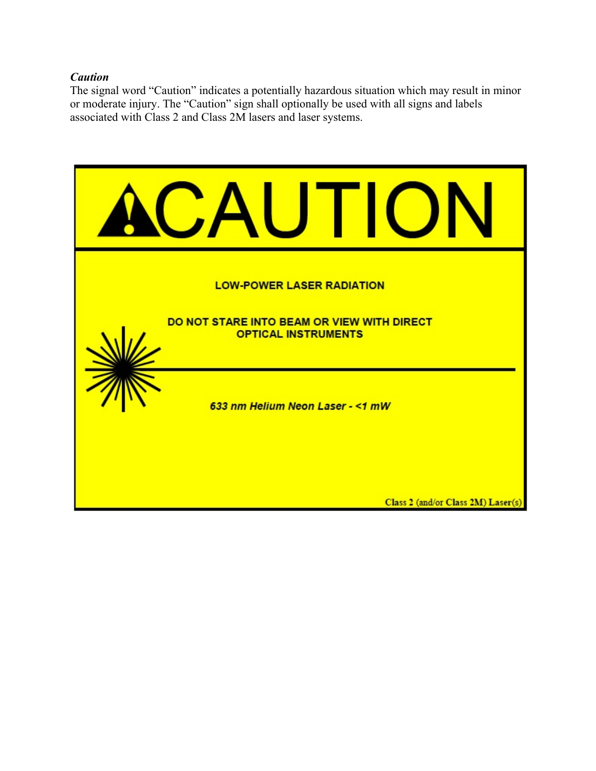#### *Caution*

The signal word "Caution" indicates a potentially hazardous situation which may result in minor or moderate injury. The "Caution" sign shall optionally be used with all signs and labels associated with Class 2 and Class 2M lasers and laser systems.

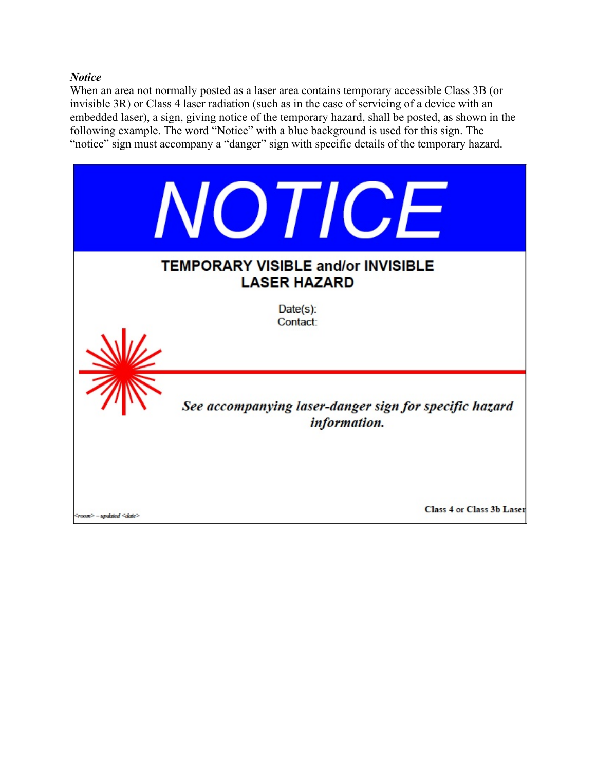*Notice*

When an area not normally posted as a laser area contains temporary accessible Class 3B (or invisible 3R) or Class 4 laser radiation (such as in the case of servicing of a device with an embedded laser), a sign, giving notice of the temporary hazard, shall be posted, as shown in the following example. The word "Notice" with a blue background is used for this sign. The "notice" sign must accompany a "danger" sign with specific details of the temporary hazard.

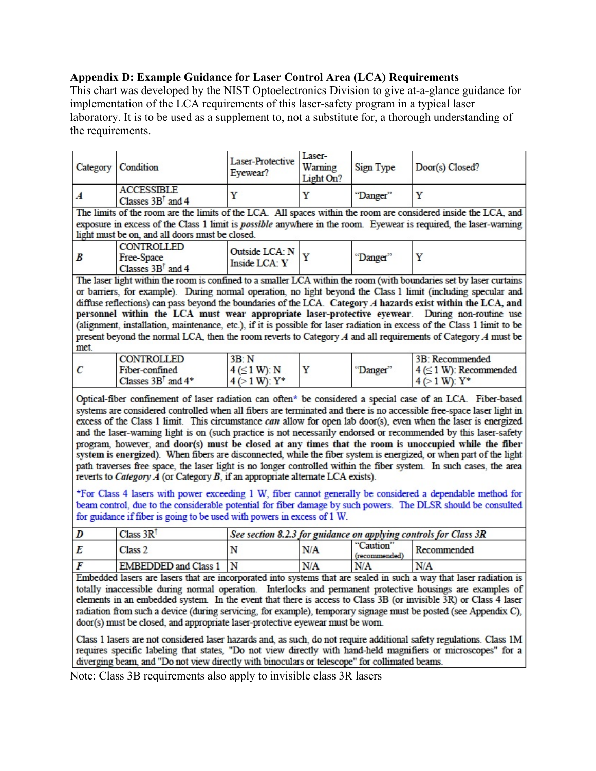#### **Appendix D: Example Guidance for Laser Control Area (LCA) Requirements**

This chart was developed by the NIST Optoelectronics Division to give at-a-glance guidance for implementation of the LCA requirements of this laser-safety program in a typical laser laboratory. It is to be used as a supplement to, not a substitute for, a thorough understanding of the requirements.

| Category                                                                                                                                                                                                        | Condition                                                                                                               | Laser-Protective<br>Eyewear?           | Laser-<br>Warning<br>Light On? | Sign Type | Door(s) Closed?            |  |  |  |
|-----------------------------------------------------------------------------------------------------------------------------------------------------------------------------------------------------------------|-------------------------------------------------------------------------------------------------------------------------|----------------------------------------|--------------------------------|-----------|----------------------------|--|--|--|
| $\boldsymbol{A}$                                                                                                                                                                                                | <b>ACCESSIBLE</b><br>Classes 3B <sup>T</sup> and 4                                                                      | v                                      | Y                              | "Danger"  | Y                          |  |  |  |
|                                                                                                                                                                                                                 | The limits of the room are the limits of the LCA. All spaces within the room are considered inside the LCA, and         |                                        |                                |           |                            |  |  |  |
|                                                                                                                                                                                                                 | exposure in excess of the Class 1 limit is <i>possible</i> anywhere in the room. Eyewear is required, the laser-warning |                                        |                                |           |                            |  |  |  |
|                                                                                                                                                                                                                 | light must be on, and all doors must be closed.                                                                         |                                        |                                |           |                            |  |  |  |
| B                                                                                                                                                                                                               | <b>CONTROLLED</b><br>Free-Space<br>Classes $3B^{\dagger}$ and 4                                                         | Outside LCA: N<br><b>Inside LCA: Y</b> |                                | "Danger"  | Y                          |  |  |  |
| The laser light within the room is confined to a smaller LCA within the room (with boundaries set by laser curtains                                                                                             |                                                                                                                         |                                        |                                |           |                            |  |  |  |
| or barriers, for example). During normal operation, no light beyond the Class 1 limit (including specular and                                                                                                   |                                                                                                                         |                                        |                                |           |                            |  |  |  |
| diffuse reflections) can pass beyond the boundaries of the LCA. Category A hazards exist within the LCA, and<br>personnel within the LCA must wear appropriate laser-protective eyewear. During non-routine use |                                                                                                                         |                                        |                                |           |                            |  |  |  |
| (alignment, installation, maintenance, etc.), if it is possible for laser radiation in excess of the Class 1 limit to be                                                                                        |                                                                                                                         |                                        |                                |           |                            |  |  |  |
| present beyond the normal LCA, then the room reverts to Category A and all requirements of Category A must be                                                                                                   |                                                                                                                         |                                        |                                |           |                            |  |  |  |
| met.                                                                                                                                                                                                            |                                                                                                                         |                                        |                                |           |                            |  |  |  |
|                                                                                                                                                                                                                 | <b>CONTROLLED</b>                                                                                                       | 3B: N                                  |                                |           | 3B: Recommended            |  |  |  |
|                                                                                                                                                                                                                 | Fiber-confined                                                                                                          | $4 \leq 1$ W): N                       |                                | "Danger"  | $4 \leq 1$ W): Recommended |  |  |  |

Optical-fiber confinement of laser radiation can often\* be considered a special case of an LCA. Fiber-based systems are considered controlled when all fibers are terminated and there is no accessible free-space laser light in excess of the Class 1 limit. This circumstance  $can$  allow for open lab  $door(s)$ , even when the laser is energized and the laser-warning light is on (such practice is not necessarily endorsed or recommended by this laser-safety program, however, and door(s) must be closed at any times that the room is unoccupied while the fiber system is energized). When fibers are disconnected, while the fiber system is energized, or when part of the light path traverses free space, the laser light is no longer controlled within the fiber system. In such cases, the area reverts to *Category A* (or Category  $B$ , if an appropriate alternate LCA exists).

 $4 (> 1 W)$ : Y\*

 $4 (> 1 W)$ : Y\*

\*For Class 4 lasers with power exceeding 1 W, fiber cannot generally be considered a dependable method for beam control, due to the considerable potential for fiber damage by such powers. The DLSR should be consulted for guidance if fiber is going to be used with powers in excess of 1 W.

|  | Class 3R                    | See section 8.2.3 for guidance on applying controls for Class 3R |     |                            |             |  |  |
|--|-----------------------------|------------------------------------------------------------------|-----|----------------------------|-------------|--|--|
|  | Class <sub>2</sub>          |                                                                  | N/A | "Caution"<br>(recommended) | Recommended |  |  |
|  | <b>EMBEDDED</b> and Class 1 |                                                                  | N/A | N/A                        | N/A         |  |  |

Embedded lasers are lasers that are incorporated into systems that are sealed in such a way that laser radiation is totally inaccessible during normal operation. Interlocks and permanent protective housings are examples of elements in an embedded system. In the event that there is access to Class 3B (or invisible 3R) or Class 4 laser radiation from such a device (during servicing, for example), temporary signage must be posted (see Appendix C), door(s) must be closed, and appropriate laser-protective eyewear must be worn.

Class 1 lasers are not considered laser hazards and, as such, do not require additional safety regulations. Class 1M requires specific labeling that states, "Do not view directly with hand-held magnifiers or microscopes" for a diverging beam, and "Do not view directly with binoculars or telescope" for collimated beams.

Note: Class 3B requirements also apply to invisible class 3R lasers

Classes 3B<sup>t</sup> and 4\*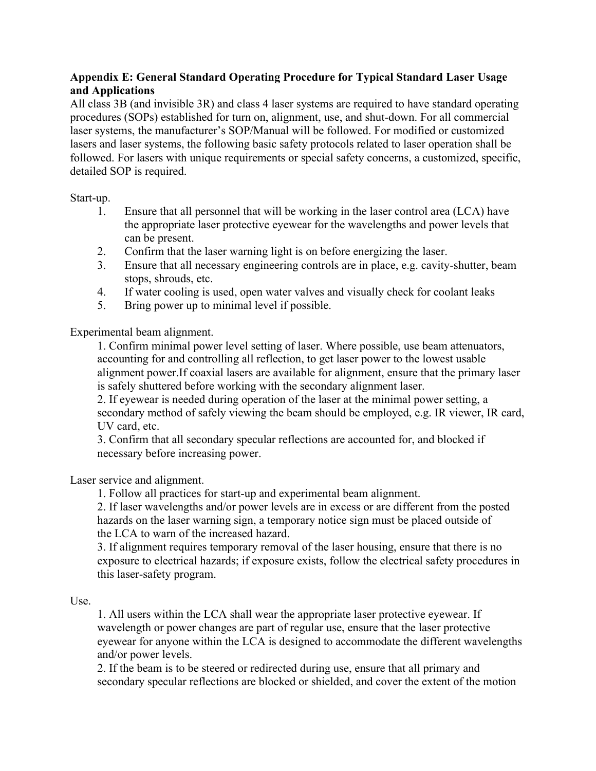## **Appendix E: General Standard Operating Procedure for Typical Standard Laser Usage and Applications**

All class 3B (and invisible 3R) and class 4 laser systems are required to have standard operating procedures (SOPs) established for turn on, alignment, use, and shut-down. For all commercial laser systems, the manufacturer's SOP/Manual will be followed. For modified or customized lasers and laser systems, the following basic safety protocols related to laser operation shall be followed. For lasers with unique requirements or special safety concerns, a customized, specific, detailed SOP is required.

Start-up.

- 1. Ensure that all personnel that will be working in the laser control area (LCA) have the appropriate laser protective eyewear for the wavelengths and power levels that can be present.
- 2. Confirm that the laser warning light is on before energizing the laser.
- 3. Ensure that all necessary engineering controls are in place, e.g. cavity-shutter, beam stops, shrouds, etc.
- 4. If water cooling is used, open water valves and visually check for coolant leaks
- 5. Bring power up to minimal level if possible.

Experimental beam alignment.

1. Confirm minimal power level setting of laser. Where possible, use beam attenuators, accounting for and controlling all reflection, to get laser power to the lowest usable alignment power.If coaxial lasers are available for alignment, ensure that the primary laser is safely shuttered before working with the secondary alignment laser.

2. If eyewear is needed during operation of the laser at the minimal power setting, a secondary method of safely viewing the beam should be employed, e.g. IR viewer, IR card, UV card, etc.

3. Confirm that all secondary specular reflections are accounted for, and blocked if necessary before increasing power.

Laser service and alignment.

1. Follow all practices for start-up and experimental beam alignment.

2. If laser wavelengths and/or power levels are in excess or are different from the posted hazards on the laser warning sign, a temporary notice sign must be placed outside of the LCA to warn of the increased hazard.

3. If alignment requires temporary removal of the laser housing, ensure that there is no exposure to electrical hazards; if exposure exists, follow the electrical safety procedures in this laser-safety program.

## Use.

1. All users within the LCA shall wear the appropriate laser protective eyewear. If wavelength or power changes are part of regular use, ensure that the laser protective eyewear for anyone within the LCA is designed to accommodate the different wavelengths and/or power levels.

2. If the beam is to be steered or redirected during use, ensure that all primary and secondary specular reflections are blocked or shielded, and cover the extent of the motion